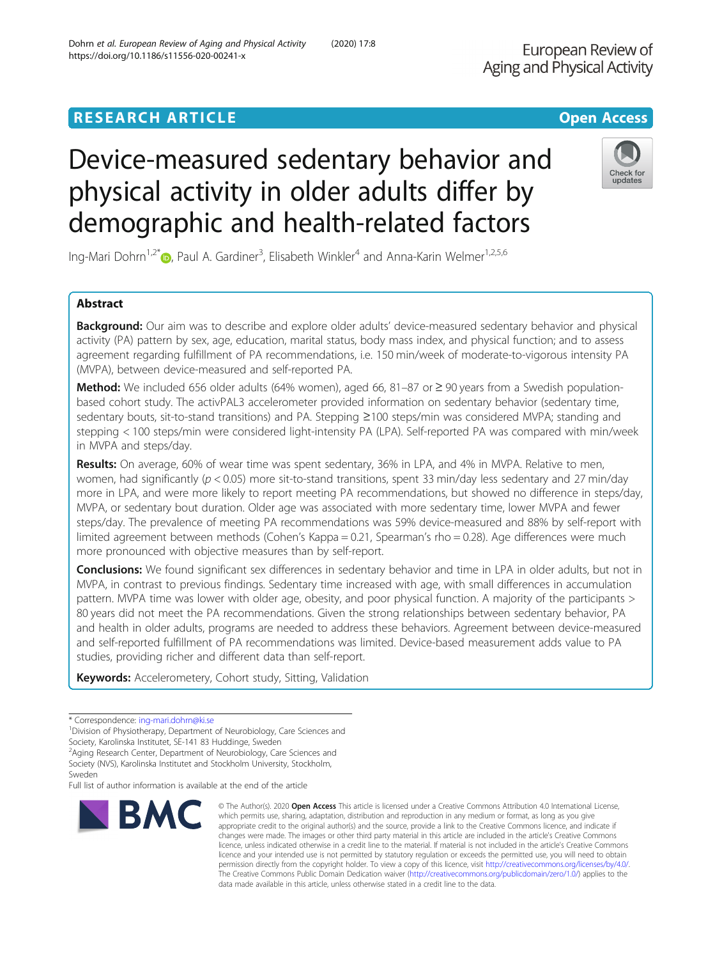## **RESEARCH ARTICLE Example 2018 12:30 THE OPEN ACCESS**

# Device-measured sedentary behavior and physical activity in older adults differ by demographic and health-related factors

Ing-Mari Dohrn<sup>1,2[\\*](http://orcid.org/0000-0003-2593-550X)</sup>®, Paul A. Gardiner<sup>3</sup>, Elisabeth Winkler<sup>4</sup> and Anna-Karin Welmer<sup>1,2,5,6</sup>

### Abstract

Background: Our aim was to describe and explore older adults' device-measured sedentary behavior and physical activity (PA) pattern by sex, age, education, marital status, body mass index, and physical function; and to assess agreement regarding fulfillment of PA recommendations, i.e. 150 min/week of moderate-to-vigorous intensity PA (MVPA), between device-measured and self-reported PA.

**Method:** We included 656 older adults (64% women), aged 66, 81–87 or ≥ 90 years from a Swedish populationbased cohort study. The activPAL3 accelerometer provided information on sedentary behavior (sedentary time, sedentary bouts, sit-to-stand transitions) and PA. Stepping ≥100 steps/min was considered MVPA; standing and stepping < 100 steps/min were considered light-intensity PA (LPA). Self-reported PA was compared with min/week in MVPA and steps/day.

Results: On average, 60% of wear time was spent sedentary, 36% in LPA, and 4% in MVPA. Relative to men, women, had significantly ( $p < 0.05$ ) more sit-to-stand transitions, spent 33 min/day less sedentary and 27 min/day more in LPA, and were more likely to report meeting PA recommendations, but showed no difference in steps/day, MVPA, or sedentary bout duration. Older age was associated with more sedentary time, lower MVPA and fewer steps/day. The prevalence of meeting PA recommendations was 59% device-measured and 88% by self-report with limited agreement between methods (Cohen's Kappa = 0.21, Spearman's rho = 0.28). Age differences were much more pronounced with objective measures than by self-report.

Conclusions: We found significant sex differences in sedentary behavior and time in LPA in older adults, but not in MVPA, in contrast to previous findings. Sedentary time increased with age, with small differences in accumulation pattern. MVPA time was lower with older age, obesity, and poor physical function. A majority of the participants > 80 years did not meet the PA recommendations. Given the strong relationships between sedentary behavior, PA and health in older adults, programs are needed to address these behaviors. Agreement between device-measured and self-reported fulfillment of PA recommendations was limited. Device-based measurement adds value to PA studies, providing richer and different data than self-report.

Keywords: Accelerometery, Cohort study, Sitting, Validation

**BMC** 

Full list of author information is available at the end of the article



© The Author(s), 2020 **Open Access** This article is licensed under a Creative Commons Attribution 4.0 International License,



<sup>\*</sup> Correspondence: [ing-mari.dohrn@ki.se](mailto:ing-mari.dohrn@ki.se) <sup>1</sup>

<sup>&</sup>lt;sup>1</sup> Division of Physiotherapy, Department of Neurobiology, Care Sciences and

Society, Karolinska Institutet, SE-141 83 Huddinge, Sweden

<sup>&</sup>lt;sup>2</sup> Aging Research Center, Department of Neurobiology, Care Sciences and

Society (NVS), Karolinska Institutet and Stockholm University, Stockholm, Sweden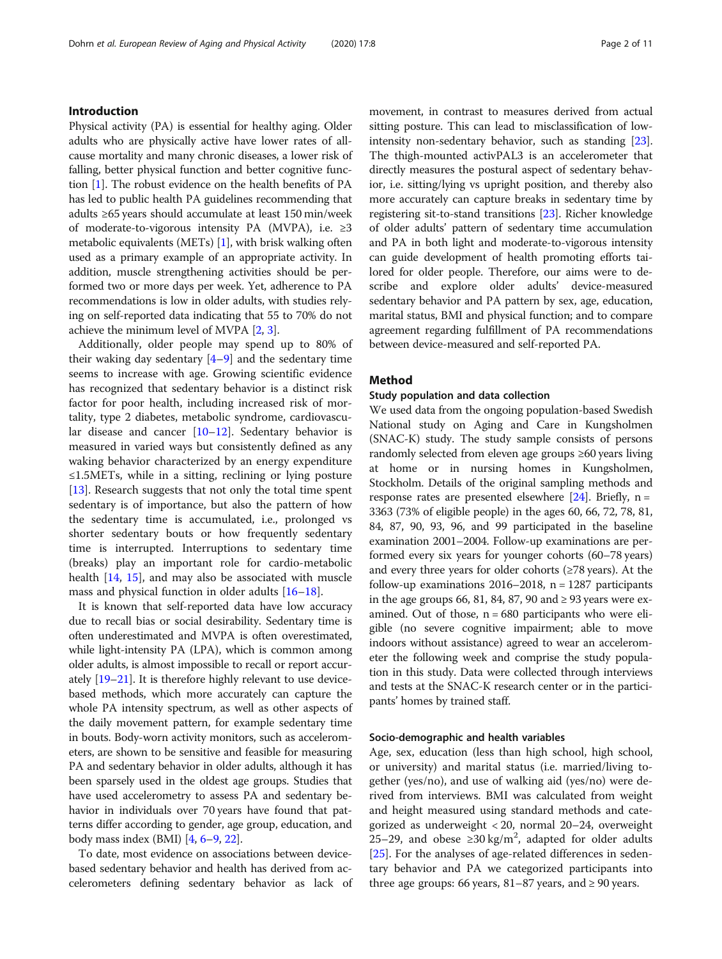### Introduction

Physical activity (PA) is essential for healthy aging. Older adults who are physically active have lower rates of allcause mortality and many chronic diseases, a lower risk of falling, better physical function and better cognitive function [[1\]](#page-9-0). The robust evidence on the health benefits of PA has led to public health PA guidelines recommending that adults ≥65 years should accumulate at least 150 min/week of moderate-to-vigorous intensity PA (MVPA), i.e. ≥3 metabolic equivalents (METs) [\[1\]](#page-9-0), with brisk walking often used as a primary example of an appropriate activity. In addition, muscle strengthening activities should be performed two or more days per week. Yet, adherence to PA recommendations is low in older adults, with studies relying on self-reported data indicating that 55 to 70% do not achieve the minimum level of MVPA [\[2,](#page-9-0) [3](#page-9-0)].

Additionally, older people may spend up to 80% of their waking day sedentary  $[4-9]$  $[4-9]$  $[4-9]$  $[4-9]$  $[4-9]$  and the sedentary time seems to increase with age. Growing scientific evidence has recognized that sedentary behavior is a distinct risk factor for poor health, including increased risk of mortality, type 2 diabetes, metabolic syndrome, cardiovascular disease and cancer [\[10](#page-9-0)–[12\]](#page-9-0). Sedentary behavior is measured in varied ways but consistently defined as any waking behavior characterized by an energy expenditure ≤1.5METs, while in a sitting, reclining or lying posture [[13\]](#page-9-0). Research suggests that not only the total time spent sedentary is of importance, but also the pattern of how the sedentary time is accumulated, i.e., prolonged vs shorter sedentary bouts or how frequently sedentary time is interrupted. Interruptions to sedentary time (breaks) play an important role for cardio-metabolic health [[14,](#page-9-0) [15](#page-9-0)], and may also be associated with muscle mass and physical function in older adults [[16](#page-9-0)–[18](#page-9-0)].

It is known that self-reported data have low accuracy due to recall bias or social desirability. Sedentary time is often underestimated and MVPA is often overestimated, while light-intensity PA (LPA), which is common among older adults, is almost impossible to recall or report accurately [\[19](#page-9-0)–[21](#page-9-0)]. It is therefore highly relevant to use devicebased methods, which more accurately can capture the whole PA intensity spectrum, as well as other aspects of the daily movement pattern, for example sedentary time in bouts. Body-worn activity monitors, such as accelerometers, are shown to be sensitive and feasible for measuring PA and sedentary behavior in older adults, although it has been sparsely used in the oldest age groups. Studies that have used accelerometry to assess PA and sedentary behavior in individuals over 70 years have found that patterns differ according to gender, age group, education, and body mass index (BMI) [[4](#page-9-0), [6](#page-9-0)–[9,](#page-9-0) [22\]](#page-9-0).

To date, most evidence on associations between devicebased sedentary behavior and health has derived from accelerometers defining sedentary behavior as lack of movement, in contrast to measures derived from actual sitting posture. This can lead to misclassification of lowintensity non-sedentary behavior, such as standing [[23](#page-9-0)]. The thigh-mounted activPAL3 is an accelerometer that directly measures the postural aspect of sedentary behavior, i.e. sitting/lying vs upright position, and thereby also more accurately can capture breaks in sedentary time by registering sit-to-stand transitions [\[23\]](#page-9-0). Richer knowledge of older adults' pattern of sedentary time accumulation and PA in both light and moderate-to-vigorous intensity can guide development of health promoting efforts tailored for older people. Therefore, our aims were to describe and explore older adults' device-measured sedentary behavior and PA pattern by sex, age, education, marital status, BMI and physical function; and to compare agreement regarding fulfillment of PA recommendations between device-measured and self-reported PA.

### Method

### Study population and data collection

We used data from the ongoing population-based Swedish National study on Aging and Care in Kungsholmen (SNAC-K) study. The study sample consists of persons randomly selected from eleven age groups ≥60 years living at home or in nursing homes in Kungsholmen, Stockholm. Details of the original sampling methods and response rates are presented elsewhere  $[24]$  $[24]$  $[24]$ . Briefly, n = 3363 (73% of eligible people) in the ages 60, 66, 72, 78, 81, 84, 87, 90, 93, 96, and 99 participated in the baseline examination 2001–2004. Follow-up examinations are performed every six years for younger cohorts (60–78 years) and every three years for older cohorts ( $\geq$ 78 years). At the follow-up examinations  $2016-2018$ , n = 1287 participants in the age groups 66, 81, 84, 87, 90 and  $\geq$  93 years were examined. Out of those,  $n = 680$  participants who were eligible (no severe cognitive impairment; able to move indoors without assistance) agreed to wear an accelerometer the following week and comprise the study population in this study. Data were collected through interviews and tests at the SNAC-K research center or in the participants' homes by trained staff.

### Socio-demographic and health variables

Age, sex, education (less than high school, high school, or university) and marital status (i.e. married/living together (yes/no), and use of walking aid (yes/no) were derived from interviews. BMI was calculated from weight and height measured using standard methods and categorized as underweight < 20, normal 20–24, overweight 25–29, and obese ≥30 kg/m<sup>2</sup>, adapted for older adults [[25\]](#page-9-0). For the analyses of age-related differences in sedentary behavior and PA we categorized participants into three age groups: 66 years, 81–87 years, and  $\geq$  90 years.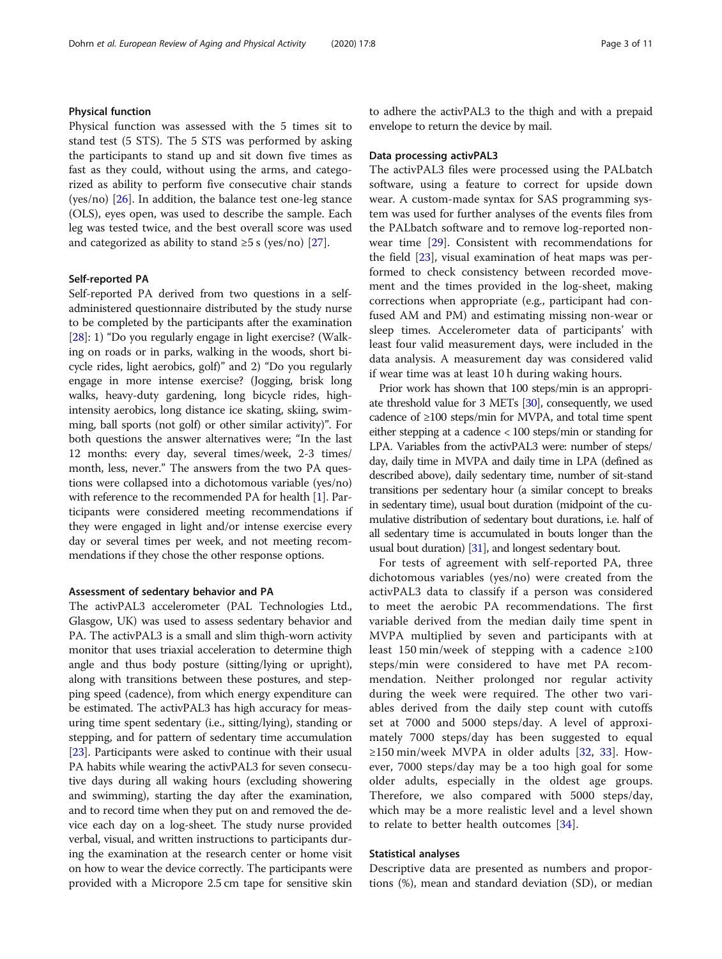### Physical function

Physical function was assessed with the 5 times sit to stand test (5 STS). The 5 STS was performed by asking the participants to stand up and sit down five times as fast as they could, without using the arms, and categorized as ability to perform five consecutive chair stands (yes/no) [[26\]](#page-9-0). In addition, the balance test one-leg stance (OLS), eyes open, was used to describe the sample. Each leg was tested twice, and the best overall score was used and categorized as ability to stand  $\geq 5$  s (yes/no) [\[27\]](#page-9-0).

### Self-reported PA

Self-reported PA derived from two questions in a selfadministered questionnaire distributed by the study nurse to be completed by the participants after the examination [[28](#page-9-0)]: 1) "Do you regularly engage in light exercise? (Walking on roads or in parks, walking in the woods, short bicycle rides, light aerobics, golf)" and 2) "Do you regularly engage in more intense exercise? (Jogging, brisk long walks, heavy-duty gardening, long bicycle rides, highintensity aerobics, long distance ice skating, skiing, swimming, ball sports (not golf) or other similar activity)". For both questions the answer alternatives were; "In the last 12 months: every day, several times/week, 2-3 times/ month, less, never." The answers from the two PA questions were collapsed into a dichotomous variable (yes/no) with reference to the recommended PA for health [\[1\]](#page-9-0). Participants were considered meeting recommendations if they were engaged in light and/or intense exercise every day or several times per week, and not meeting recommendations if they chose the other response options.

### Assessment of sedentary behavior and PA

The activPAL3 accelerometer (PAL Technologies Ltd., Glasgow, UK) was used to assess sedentary behavior and PA. The activPAL3 is a small and slim thigh-worn activity monitor that uses triaxial acceleration to determine thigh angle and thus body posture (sitting/lying or upright), along with transitions between these postures, and stepping speed (cadence), from which energy expenditure can be estimated. The activPAL3 has high accuracy for measuring time spent sedentary (i.e., sitting/lying), standing or stepping, and for pattern of sedentary time accumulation [[23](#page-9-0)]. Participants were asked to continue with their usual PA habits while wearing the activPAL3 for seven consecutive days during all waking hours (excluding showering and swimming), starting the day after the examination, and to record time when they put on and removed the device each day on a log-sheet. The study nurse provided verbal, visual, and written instructions to participants during the examination at the research center or home visit on how to wear the device correctly. The participants were provided with a Micropore 2.5 cm tape for sensitive skin to adhere the activPAL3 to the thigh and with a prepaid envelope to return the device by mail.

### Data processing activPAL3

The activPAL3 files were processed using the PALbatch software, using a feature to correct for upside down wear. A custom-made syntax for SAS programming system was used for further analyses of the events files from the PALbatch software and to remove log-reported nonwear time [\[29\]](#page-9-0). Consistent with recommendations for the field [[23](#page-9-0)], visual examination of heat maps was performed to check consistency between recorded movement and the times provided in the log-sheet, making corrections when appropriate (e.g., participant had confused AM and PM) and estimating missing non-wear or sleep times. Accelerometer data of participants' with least four valid measurement days, were included in the data analysis. A measurement day was considered valid if wear time was at least 10 h during waking hours.

Prior work has shown that 100 steps/min is an appropriate threshold value for 3 METs [[30\]](#page-9-0), consequently, we used cadence of ≥100 steps/min for MVPA, and total time spent either stepping at a cadence < 100 steps/min or standing for LPA. Variables from the activPAL3 were: number of steps/ day, daily time in MVPA and daily time in LPA (defined as described above), daily sedentary time, number of sit-stand transitions per sedentary hour (a similar concept to breaks in sedentary time), usual bout duration (midpoint of the cumulative distribution of sedentary bout durations, i.e. half of all sedentary time is accumulated in bouts longer than the usual bout duration) [\[31\]](#page-9-0), and longest sedentary bout.

For tests of agreement with self-reported PA, three dichotomous variables (yes/no) were created from the activPAL3 data to classify if a person was considered to meet the aerobic PA recommendations. The first variable derived from the median daily time spent in MVPA multiplied by seven and participants with at least 150 min/week of stepping with a cadence  $\geq 100$ steps/min were considered to have met PA recommendation. Neither prolonged nor regular activity during the week were required. The other two variables derived from the daily step count with cutoffs set at 7000 and 5000 steps/day. A level of approximately 7000 steps/day has been suggested to equal ≥150 min/week MVPA in older adults  $[32, 33]$  $[32, 33]$  $[32, 33]$  $[32, 33]$ . However, 7000 steps/day may be a too high goal for some older adults, especially in the oldest age groups. Therefore, we also compared with 5000 steps/day, which may be a more realistic level and a level shown to relate to better health outcomes [[34\]](#page-9-0).

### Statistical analyses

Descriptive data are presented as numbers and proportions (%), mean and standard deviation (SD), or median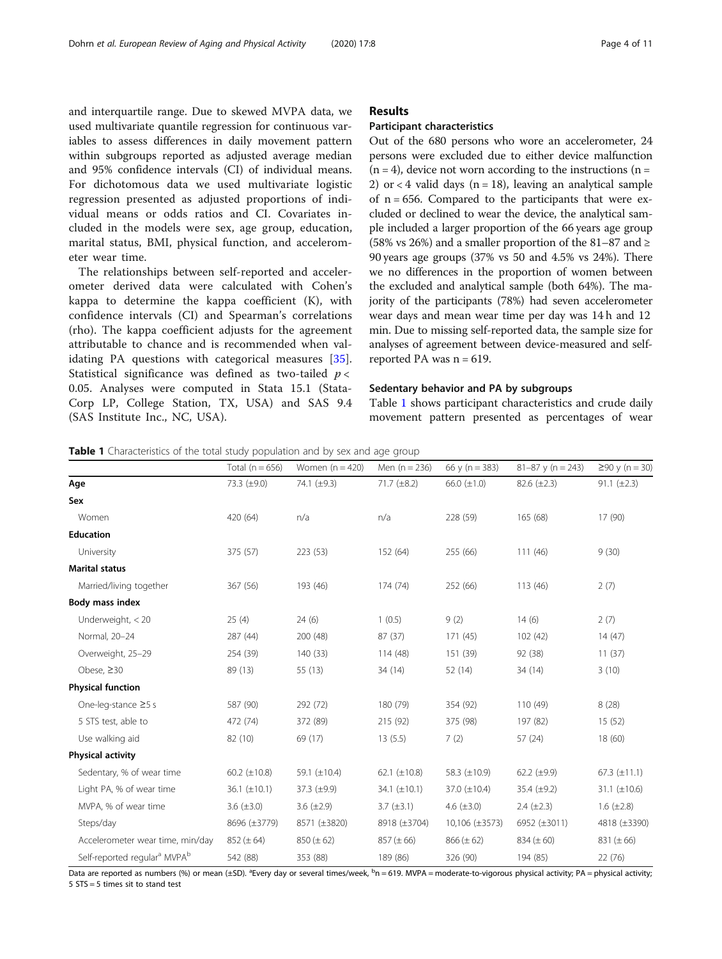and interquartile range. Due to skewed MVPA data, we used multivariate quantile regression for continuous variables to assess differences in daily movement pattern within subgroups reported as adjusted average median and 95% confidence intervals (CI) of individual means. For dichotomous data we used multivariate logistic regression presented as adjusted proportions of individual means or odds ratios and CI. Covariates included in the models were sex, age group, education, marital status, BMI, physical function, and accelerometer wear time.

The relationships between self-reported and accelerometer derived data were calculated with Cohen's kappa to determine the kappa coefficient (K), with confidence intervals (CI) and Spearman's correlations (rho). The kappa coefficient adjusts for the agreement attributable to chance and is recommended when validating PA questions with categorical measures [\[35](#page-9-0)]. Statistical significance was defined as two-tailed  $p <$ 0.05. Analyses were computed in Stata 15.1 (Stata-Corp LP, College Station, TX, USA) and SAS 9.4 (SAS Institute Inc., NC, USA).

### Results

### Participant characteristics

Out of the 680 persons who wore an accelerometer, 24 persons were excluded due to either device malfunction  $(n = 4)$ , device not worn according to the instructions  $(n = 1)$ 2) or  $<$  4 valid days (n = 18), leaving an analytical sample of  $n = 656$ . Compared to the participants that were excluded or declined to wear the device, the analytical sample included a larger proportion of the 66 years age group (58% vs 26%) and a smaller proportion of the 81–87 and  $\ge$ 90 years age groups (37% vs 50 and 4.5% vs 24%). There we no differences in the proportion of women between the excluded and analytical sample (both 64%). The majority of the participants (78%) had seven accelerometer wear days and mean wear time per day was 14 h and 12 min. Due to missing self-reported data, the sample size for analyses of agreement between device-measured and selfreported PA was  $n = 619$ .

### Sedentary behavior and PA by subgroups

Table 1 shows participant characteristics and crude daily movement pattern presented as percentages of wear

Table 1 Characteristics of the total study population and by sex and age group

|                                                      | Total ( $n = 656$ ) | Women $(n = 420)$ | Men $(n = 236)$   | 66 y (n = $383$ ) | $81 - 87$ y (n = 243) | $≥90$ y (n = 30)  |
|------------------------------------------------------|---------------------|-------------------|-------------------|-------------------|-----------------------|-------------------|
| Age                                                  | 73.3 $(\pm 9.0)$    | 74.1 (±9.3)       | $71.7 (\pm 8.2)$  | 66.0 $(\pm 1.0)$  | $82.6 (\pm 2.3)$      | $91.1 (\pm 2.3)$  |
| Sex                                                  |                     |                   |                   |                   |                       |                   |
| Women                                                | 420 (64)            | n/a               | n/a               | 228 (59)          | 165 (68)              | 17 (90)           |
| <b>Education</b>                                     |                     |                   |                   |                   |                       |                   |
| University                                           | 375 (57)            | 223 (53)          | 152 (64)          | 255 (66)          | 111(46)               | 9(30)             |
| <b>Marital status</b>                                |                     |                   |                   |                   |                       |                   |
| Married/living together                              | 367 (56)            | 193 (46)          | 174(74)           | 252 (66)          | 113 (46)              | 2(7)              |
| Body mass index                                      |                     |                   |                   |                   |                       |                   |
| Underweight, $<$ 20                                  | 25(4)               | 24(6)             | 1(0.5)            | 9(2)              | 14(6)                 | 2(7)              |
| Normal, 20-24                                        | 287 (44)            | 200 (48)          | 87 (37)           | 171(45)           | 102(42)               | 14(47)            |
| Overweight, 25-29                                    | 254 (39)            | 140 (33)          | 114 (48)          | 151 (39)          | 92 (38)               | 11(37)            |
| Obese, $\geq 30$                                     | 89 (13)             | 55 (13)           | 34 (14)           | 52 (14)           | 34 (14)               | 3(10)             |
| <b>Physical function</b>                             |                     |                   |                   |                   |                       |                   |
| One-leg-stance $\geq$ 5 s                            | 587 (90)            | 292 (72)          | 180 (79)          | 354 (92)          | 110 (49)              | 8(28)             |
| 5 STS test, able to                                  | 472 (74)            | 372 (89)          | 215 (92)          | 375 (98)          | 197 (82)              | 15(52)            |
| Use walking aid                                      | 82 (10)             | 69 (17)           | 13(5.5)           | 7(2)              | 57 (24)               | 18(60)            |
| <b>Physical activity</b>                             |                     |                   |                   |                   |                       |                   |
| Sedentary, % of wear time                            | 60.2 $(\pm 10.8)$   | 59.1 (±10.4)      | 62.1 $(\pm 10.8)$ | 58.3 (±10.9)      | 62.2 $(\pm 9.9)$      | 67.3 $(\pm 11.1)$ |
| Light PA, % of wear time                             | 36.1 $(\pm 10.1)$   | 37.3 (±9.9)       | $34.1 (\pm 10.1)$ | 37.0 (±10.4)      | 35.4 $(\pm 9.2)$      | 31.1 $(\pm 10.6)$ |
| MVPA, % of wear time                                 | 3.6 $(\pm 3.0)$     | 3.6 $(\pm 2.9)$   | $3.7 (\pm 3.1)$   | 4.6 $(\pm 3.0)$   | $2.4 (\pm 2.3)$       | 1.6 $(\pm 2.8)$   |
| Steps/day                                            | 8696 (±3779)        | 8571 (±3820)      | 8918 (±3704)      | 10,106 (±3573)    | 6952 (±3011)          | 4818 (±3390)      |
| Accelerometer wear time, min/day                     | $852 (\pm 64)$      | $850 (\pm 62)$    | $857 (\pm 66)$    | $866 (\pm 62)$    | $834 (\pm 60)$        | $831 (\pm 66)$    |
| Self-reported regular <sup>a</sup> MVPA <sup>b</sup> | 542 (88)            | 353 (88)          | 189 (86)          | 326 (90)          | 194 (85)              | 22 (76)           |

Data are reported as numbers (%) or mean (±SD). <sup>a</sup>Every day or several times/week, <sup>b</sup>n = 619. MVPA = moderate-to-vigorous physical activity; PA = physical activity; 5 STS = 5 times sit to stand test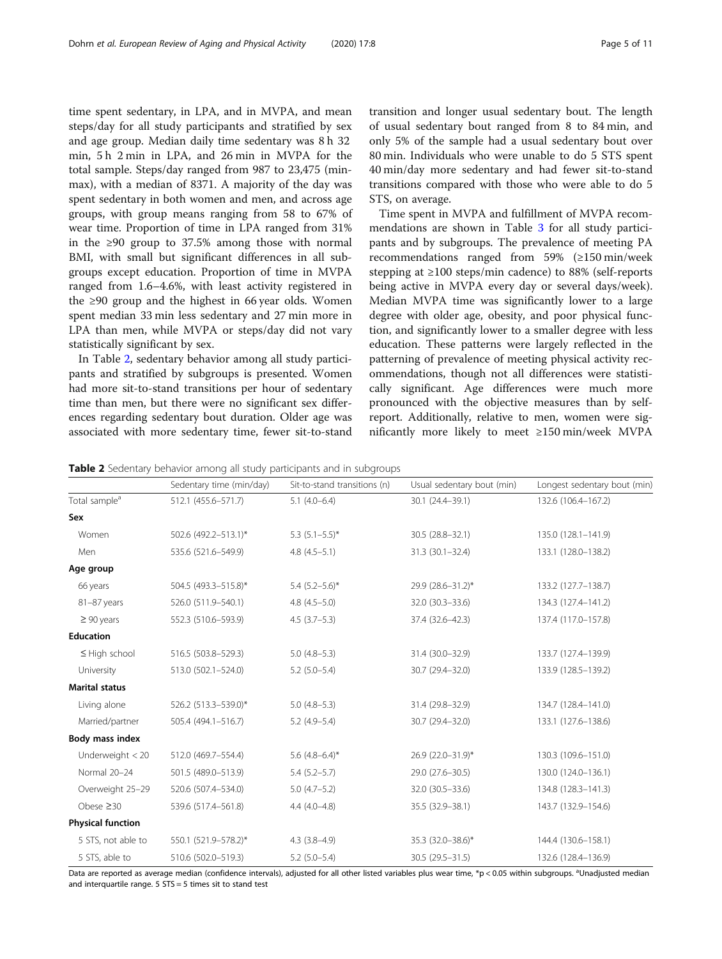time spent sedentary, in LPA, and in MVPA, and mean steps/day for all study participants and stratified by sex and age group. Median daily time sedentary was 8 h 32 min, 5 h 2 min in LPA, and 26 min in MVPA for the total sample. Steps/day ranged from 987 to 23,475 (minmax), with a median of 8371. A majority of the day was spent sedentary in both women and men, and across age groups, with group means ranging from 58 to 67% of wear time. Proportion of time in LPA ranged from 31% in the ≥90 group to 37.5% among those with normal BMI, with small but significant differences in all subgroups except education. Proportion of time in MVPA ranged from 1.6–4.6%, with least activity registered in the ≥90 group and the highest in 66 year olds. Women spent median 33 min less sedentary and 27 min more in LPA than men, while MVPA or steps/day did not vary statistically significant by sex.

In Table 2, sedentary behavior among all study participants and stratified by subgroups is presented. Women had more sit-to-stand transitions per hour of sedentary time than men, but there were no significant sex differences regarding sedentary bout duration. Older age was associated with more sedentary time, fewer sit-to-stand transition and longer usual sedentary bout. The length of usual sedentary bout ranged from 8 to 84 min, and only 5% of the sample had a usual sedentary bout over 80 min. Individuals who were unable to do 5 STS spent 40 min/day more sedentary and had fewer sit-to-stand transitions compared with those who were able to do 5 STS, on average.

Time spent in MVPA and fulfillment of MVPA recommendations are shown in Table [3](#page-5-0) for all study participants and by subgroups. The prevalence of meeting PA recommendations ranged from 59% (≥150 min/week stepping at ≥100 steps/min cadence) to 88% (self-reports being active in MVPA every day or several days/week). Median MVPA time was significantly lower to a large degree with older age, obesity, and poor physical function, and significantly lower to a smaller degree with less education. These patterns were largely reflected in the patterning of prevalence of meeting physical activity recommendations, though not all differences were statistically significant. Age differences were much more pronounced with the objective measures than by selfreport. Additionally, relative to men, women were significantly more likely to meet ≥150 min/week MVPA

Table 2 Sedentary behavior among all study participants and in subgroups

|                           | Sedentary time (min/day) | Sit-to-stand transitions (n) | Usual sedentary bout (min) | Longest sedentary bout (min) |
|---------------------------|--------------------------|------------------------------|----------------------------|------------------------------|
| Total sample <sup>a</sup> | 512.1 (455.6-571.7)      | $5.1(4.0-6.4)$               | 30.1 (24.4-39.1)           | 132.6 (106.4-167.2)          |
| Sex                       |                          |                              |                            |                              |
| Women                     | 502.6 (492.2-513.1)*     | 5.3 $(5.1-5.5)^*$            | 30.5 (28.8-32.1)           | 135.0 (128.1-141.9)          |
| Men                       | 535.6 (521.6-549.9)      | $4.8(4.5-5.1)$               | $31.3(30.1 - 32.4)$        | 133.1 (128.0-138.2)          |
| Age group                 |                          |                              |                            |                              |
| 66 years                  | 504.5 (493.3-515.8)*     | $5.4$ (5.2-5.6)*             | 29.9 (28.6-31.2)*          | 133.2 (127.7-138.7)          |
| 81-87 years               | 526.0 (511.9-540.1)      | $4.8(4.5-5.0)$               | 32.0 (30.3-33.6)           | 134.3 (127.4-141.2)          |
| $\geq 90$ years           | 552.3 (510.6-593.9)      | $4.5(3.7-5.3)$               | 37.4 (32.6-42.3)           | 137.4 (117.0-157.8)          |
| <b>Education</b>          |                          |                              |                            |                              |
| $\leq$ High school        | 516.5 (503.8-529.3)      | $5.0(4.8-5.3)$               | 31.4 (30.0-32.9)           | 133.7 (127.4-139.9)          |
| University                | 513.0 (502.1-524.0)      | $5.2$ (5.0-5.4)              | 30.7 (29.4-32.0)           | 133.9 (128.5-139.2)          |
| <b>Marital status</b>     |                          |                              |                            |                              |
| Living alone              | 526.2 (513.3-539.0)*     | $5.0(4.8-5.3)$               | 31.4 (29.8-32.9)           | 134.7 (128.4-141.0)          |
| Married/partner           | 505.4 (494.1-516.7)      | $5.2(4.9-5.4)$               | 30.7 (29.4-32.0)           | 133.1 (127.6-138.6)          |
| Body mass index           |                          |                              |                            |                              |
| Underweight $<$ 20        | 512.0 (469.7-554.4)      | 5.6 $(4.8-6.4)$ *            | 26.9 (22.0-31.9)*          | 130.3 (109.6-151.0)          |
| Normal 20-24              | 501.5 (489.0-513.9)      | $5.4(5.2 - 5.7)$             | 29.0 (27.6-30.5)           | 130.0 (124.0-136.1)          |
| Overweight 25-29          | 520.6 (507.4-534.0)      | $5.0(4.7-5.2)$               | 32.0 (30.5 - 33.6)         | 134.8 (128.3-141.3)          |
| Obese $\geq 30$           | 539.6 (517.4-561.8)      | $4.4(4.0 - 4.8)$             | 35.5 (32.9-38.1)           | 143.7 (132.9-154.6)          |
| <b>Physical function</b>  |                          |                              |                            |                              |
| 5 STS, not able to        | 550.1 (521.9-578.2)*     | $4.3(3.8-4.9)$               | 35.3 (32.0-38.6)*          | 144.4 (130.6-158.1)          |
| 5 STS, able to            | 510.6 (502.0-519.3)      | $5.2$ (5.0-5.4)              | 30.5 (29.5-31.5)           | 132.6 (128.4-136.9)          |

Data are reported as average median (confidence intervals), adjusted for all other listed variables plus wear time, \*p < 0.05 within subgroups. <sup>a</sup>Unadjusted median and interquartile range. 5 STS = 5 times sit to stand test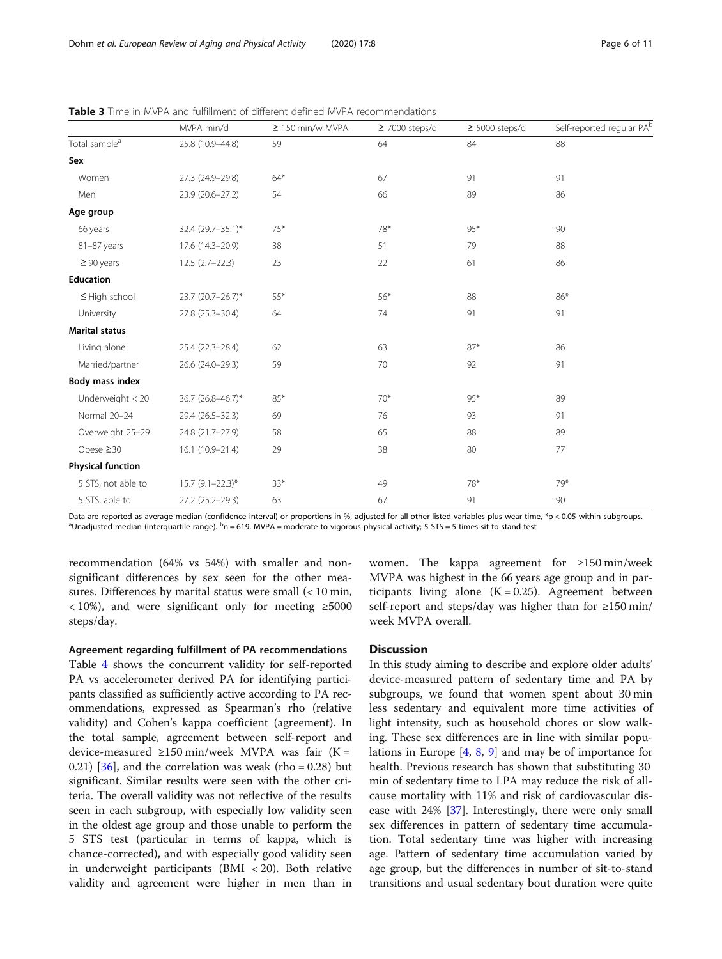|                           | MVPA min/d         | $\geq 150$ min/w MVPA | $\geq$ 7000 steps/d | $\geq$ 5000 steps/d | Self-reported regular PA <sup>t</sup> |
|---------------------------|--------------------|-----------------------|---------------------|---------------------|---------------------------------------|
| Total sample <sup>a</sup> | 25.8 (10.9-44.8)   | 59                    | 64                  | 84                  | 88                                    |
| Sex                       |                    |                       |                     |                     |                                       |
| Women                     | 27.3 (24.9-29.8)   | $64*$                 | 67                  | 91                  | 91                                    |
| Men                       | 23.9 (20.6-27.2)   | 54                    | 66                  | 89                  | 86                                    |
| Age group                 |                    |                       |                     |                     |                                       |
| 66 years                  | 32.4 (29.7-35.1)*  | $75*$                 | 78*                 | $95*$               | 90                                    |
| 81-87 years               | 17.6 (14.3-20.9)   | 38                    | 51                  | 79                  | 88                                    |
| $\geq 90$ years           | $12.5(2.7-22.3)$   | 23                    | 22                  | 61                  | 86                                    |
| Education                 |                    |                       |                     |                     |                                       |
| $\leq$ High school        | 23.7 (20.7-26.7)*  | $55*$                 | $56*$               | 88                  | 86*                                   |
| University                | 27.8 (25.3-30.4)   | 64                    | 74                  | 91                  | 91                                    |
| <b>Marital status</b>     |                    |                       |                     |                     |                                       |
| Living alone              | 25.4 (22.3-28.4)   | 62                    | 63                  | $87*$               | 86                                    |
| Married/partner           | 26.6 (24.0-29.3)   | 59                    | 70                  | 92                  | 91                                    |
| Body mass index           |                    |                       |                     |                     |                                       |
| Underweight $<$ 20        | 36.7 (26.8-46.7)*  | 85*                   | $70*$               | 95*                 | 89                                    |
| Normal 20-24              | 29.4 (26.5-32.3)   | 69                    | 76                  | 93                  | 91                                    |
| Overweight 25-29          | 24.8 (21.7-27.9)   | 58                    | 65                  | 88                  | 89                                    |
| Obese $\geq 30$           | 16.1 (10.9-21.4)   | 29                    | 38                  | 80                  | 77                                    |
| <b>Physical function</b>  |                    |                       |                     |                     |                                       |
| 5 STS, not able to        | $15.7$ (9.1-22.3)* | $33*$                 | 49                  | 78*                 | 79*                                   |
| 5 STS, able to            | 27.2 (25.2-29.3)   | 63                    | 67                  | 91                  | 90                                    |

<span id="page-5-0"></span>Table 3 Time in MVPA and fulfillment of different defined MVPA recommendations

Data are reported as average median (confidence interval) or proportions in %, adjusted for all other listed variables plus wear time, \*p < 0.05 within subgroups. Unadjusted median (interquartile range). <sup>b</sup>n = 619. MVPA = moderate-to-vigorous physical activity; 5 STS = 5 times sit to stand test

recommendation (64% vs 54%) with smaller and nonsignificant differences by sex seen for the other measures. Differences by marital status were small  $\left($  < 10 min,  $<10\%$ ), and were significant only for meeting  $\geq 5000$ steps/day.

### Agreement regarding fulfillment of PA recommendations

Table [4](#page-6-0) shows the concurrent validity for self-reported PA vs accelerometer derived PA for identifying participants classified as sufficiently active according to PA recommendations, expressed as Spearman's rho (relative validity) and Cohen's kappa coefficient (agreement). In the total sample, agreement between self-report and device-measured ≥150 min/week MVPA was fair (Κ = 0.21) [ $36$ ], and the correlation was weak (rho = 0.28) but significant. Similar results were seen with the other criteria. The overall validity was not reflective of the results seen in each subgroup, with especially low validity seen in the oldest age group and those unable to perform the 5 STS test (particular in terms of kappa, which is chance-corrected), and with especially good validity seen in underweight participants ( $BMI < 20$ ). Both relative validity and agreement were higher in men than in women. The kappa agreement for ≥150 min/week MVPA was highest in the 66 years age group and in participants living alone  $(K = 0.25)$ . Agreement between self-report and steps/day was higher than for ≥150 min/ week MVPA overall.

### **Discussion**

In this study aiming to describe and explore older adults' device-measured pattern of sedentary time and PA by subgroups, we found that women spent about 30 min less sedentary and equivalent more time activities of light intensity, such as household chores or slow walking. These sex differences are in line with similar populations in Europe [\[4,](#page-9-0) [8](#page-9-0), [9\]](#page-9-0) and may be of importance for health. Previous research has shown that substituting 30 min of sedentary time to LPA may reduce the risk of allcause mortality with 11% and risk of cardiovascular disease with 24% [\[37](#page-10-0)]. Interestingly, there were only small sex differences in pattern of sedentary time accumulation. Total sedentary time was higher with increasing age. Pattern of sedentary time accumulation varied by age group, but the differences in number of sit-to-stand transitions and usual sedentary bout duration were quite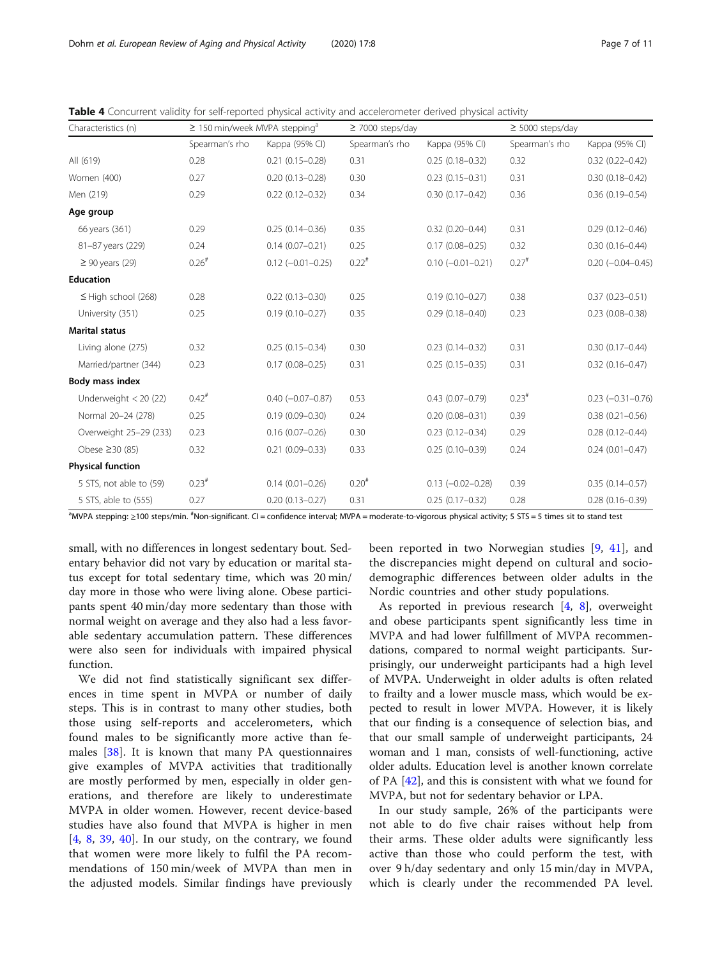| Characteristics (n)      | $\geq$ 150 min/week MVPA stepping <sup>a</sup> |                       | $\geq$ 7000 steps/day |                       | $\geq$ 5000 steps/day |                       |
|--------------------------|------------------------------------------------|-----------------------|-----------------------|-----------------------|-----------------------|-----------------------|
|                          | Spearman's rho                                 | Kappa (95% CI)        | Spearman's rho        | Kappa (95% CI)        | Spearman's rho        | Kappa (95% CI)        |
| All (619)                | 0.28                                           | $0.21(0.15 - 0.28)$   | 0.31                  | $0.25(0.18 - 0.32)$   | 0.32                  | $0.32(0.22 - 0.42)$   |
| Women (400)              | 0.27                                           | $0.20(0.13 - 0.28)$   | 0.30                  | $0.23(0.15 - 0.31)$   | 0.31                  | $0.30(0.18 - 0.42)$   |
| Men (219)                | 0.29                                           | $0.22(0.12 - 0.32)$   | 0.34                  | $0.30(0.17 - 0.42)$   | 0.36                  | $0.36(0.19 - 0.54)$   |
| Age group                |                                                |                       |                       |                       |                       |                       |
| 66 years (361)           | 0.29                                           | $0.25(0.14 - 0.36)$   | 0.35                  | $0.32(0.20 - 0.44)$   | 0.31                  | $0.29(0.12 - 0.46)$   |
| 81-87 years (229)        | 0.24                                           | $0.14(0.07 - 0.21)$   | 0.25                  | $0.17(0.08 - 0.25)$   | 0.32                  | $0.30(0.16 - 0.44)$   |
| $\geq 90$ years (29)     | $0.26$ <sup>#</sup>                            | $0.12 (-0.01 - 0.25)$ | $0.22$ <sup>#</sup>   | $0.10 (-0.01 - 0.21)$ | $0.27$ <sup>#</sup>   | $0.20 (-0.04 - 0.45)$ |
| <b>Education</b>         |                                                |                       |                       |                       |                       |                       |
| $\leq$ High school (268) | 0.28                                           | $0.22(0.13 - 0.30)$   | 0.25                  | $0.19(0.10 - 0.27)$   | 0.38                  | $0.37(0.23 - 0.51)$   |
| University (351)         | 0.25                                           | $0.19(0.10 - 0.27)$   | 0.35                  | $0.29(0.18 - 0.40)$   | 0.23                  | $0.23(0.08 - 0.38)$   |
| <b>Marital status</b>    |                                                |                       |                       |                       |                       |                       |
| Living alone (275)       | 0.32                                           | $0.25(0.15 - 0.34)$   | 0.30                  | $0.23(0.14 - 0.32)$   | 0.31                  | $0.30(0.17 - 0.44)$   |
| Married/partner (344)    | 0.23                                           | $0.17(0.08 - 0.25)$   | 0.31                  | $0.25(0.15 - 0.35)$   | 0.31                  | $0.32(0.16 - 0.47)$   |
| Body mass index          |                                                |                       |                       |                       |                       |                       |
| Underweight $<$ 20 (22)  | $0.42$ <sup>#</sup>                            | $0.40 (-0.07 - 0.87)$ | 0.53                  | $0.43(0.07 - 0.79)$   | $0.23^{#}$            | $0.23 (-0.31 - 0.76)$ |
| Normal 20-24 (278)       | 0.25                                           | $0.19(0.09 - 0.30)$   | 0.24                  | $0.20(0.08 - 0.31)$   | 0.39                  | $0.38(0.21 - 0.56)$   |
| Overweight 25-29 (233)   | 0.23                                           | $0.16(0.07 - 0.26)$   | 0.30                  | $0.23(0.12 - 0.34)$   | 0.29                  | $0.28(0.12 - 0.44)$   |
| Obese ≥30 (85)           | 0.32                                           | $0.21(0.09 - 0.33)$   | 0.33                  | $0.25(0.10 - 0.39)$   | 0.24                  | $0.24(0.01 - 0.47)$   |
| <b>Physical function</b> |                                                |                       |                       |                       |                       |                       |
| 5 STS, not able to (59)  | $0.23$ <sup>#</sup>                            | $0.14(0.01 - 0.26)$   | $0.20^{#}$            | $0.13 (-0.02 - 0.28)$ | 0.39                  | $0.35(0.14 - 0.57)$   |
| 5 STS, able to (555)     | 0.27                                           | $0.20(0.13 - 0.27)$   | 0.31                  | $0.25(0.17-0.32)$     | 0.28                  | $0.28(0.16 - 0.39)$   |

<span id="page-6-0"></span>Table 4 Concurrent validity for self-reported physical activity and accelerometer derived physical activity

<sup>a</sup>MVPA stepping: ≥100 steps/min. <sup>#</sup>Non-significant. CI = confidence interval; MVPA = moderate-to-vigorous physical activity; 5 STS = 5 times sit to stand test

small, with no differences in longest sedentary bout. Sedentary behavior did not vary by education or marital status except for total sedentary time, which was 20 min/ day more in those who were living alone. Obese participants spent 40 min/day more sedentary than those with normal weight on average and they also had a less favorable sedentary accumulation pattern. These differences were also seen for individuals with impaired physical function.

We did not find statistically significant sex differences in time spent in MVPA or number of daily steps. This is in contrast to many other studies, both those using self-reports and accelerometers, which found males to be significantly more active than females [\[38](#page-10-0)]. It is known that many PA questionnaires give examples of MVPA activities that traditionally are mostly performed by men, especially in older generations, and therefore are likely to underestimate MVPA in older women. However, recent device-based studies have also found that MVPA is higher in men [[4,](#page-9-0) [8](#page-9-0), [39](#page-10-0), [40\]](#page-10-0). In our study, on the contrary, we found that women were more likely to fulfil the PA recommendations of 150 min/week of MVPA than men in the adjusted models. Similar findings have previously

been reported in two Norwegian studies [[9,](#page-9-0) [41\]](#page-10-0), and the discrepancies might depend on cultural and sociodemographic differences between older adults in the Nordic countries and other study populations.

As reported in previous research [[4](#page-9-0), [8](#page-9-0)], overweight and obese participants spent significantly less time in MVPA and had lower fulfillment of MVPA recommendations, compared to normal weight participants. Surprisingly, our underweight participants had a high level of MVPA. Underweight in older adults is often related to frailty and a lower muscle mass, which would be expected to result in lower MVPA. However, it is likely that our finding is a consequence of selection bias, and that our small sample of underweight participants, 24 woman and 1 man, consists of well-functioning, active older adults. Education level is another known correlate of PA [\[42](#page-10-0)], and this is consistent with what we found for MVPA, but not for sedentary behavior or LPA.

In our study sample, 26% of the participants were not able to do five chair raises without help from their arms. These older adults were significantly less active than those who could perform the test, with over 9 h/day sedentary and only 15 min/day in MVPA, which is clearly under the recommended PA level.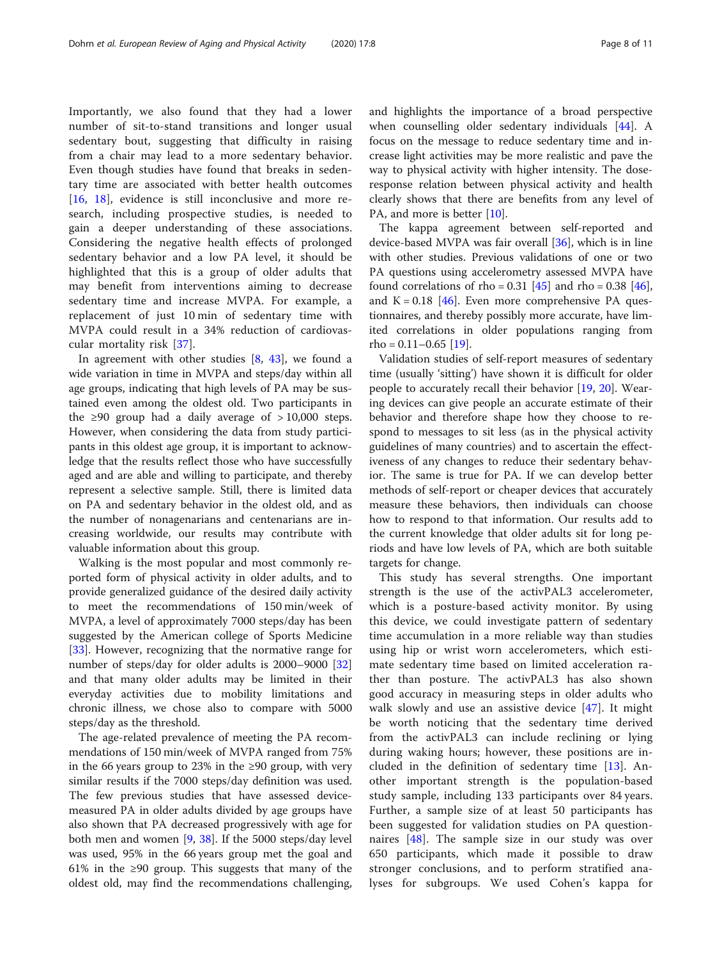Importantly, we also found that they had a lower number of sit-to-stand transitions and longer usual sedentary bout, suggesting that difficulty in raising from a chair may lead to a more sedentary behavior. Even though studies have found that breaks in sedentary time are associated with better health outcomes [[16,](#page-9-0) [18\]](#page-9-0), evidence is still inconclusive and more research, including prospective studies, is needed to gain a deeper understanding of these associations. Considering the negative health effects of prolonged sedentary behavior and a low PA level, it should be highlighted that this is a group of older adults that may benefit from interventions aiming to decrease sedentary time and increase MVPA. For example, a replacement of just 10 min of sedentary time with MVPA could result in a 34% reduction of cardiovascular mortality risk [[37\]](#page-10-0).

In agreement with other studies [\[8](#page-9-0), [43\]](#page-10-0), we found a wide variation in time in MVPA and steps/day within all age groups, indicating that high levels of PA may be sustained even among the oldest old. Two participants in the ≥90 group had a daily average of > 10,000 steps. However, when considering the data from study participants in this oldest age group, it is important to acknowledge that the results reflect those who have successfully aged and are able and willing to participate, and thereby represent a selective sample. Still, there is limited data on PA and sedentary behavior in the oldest old, and as the number of nonagenarians and centenarians are increasing worldwide, our results may contribute with valuable information about this group.

Walking is the most popular and most commonly reported form of physical activity in older adults, and to provide generalized guidance of the desired daily activity to meet the recommendations of 150 min/week of MVPA, a level of approximately 7000 steps/day has been suggested by the American college of Sports Medicine [[33\]](#page-9-0). However, recognizing that the normative range for number of steps/day for older adults is 2000–9000 [[32](#page-9-0)] and that many older adults may be limited in their everyday activities due to mobility limitations and chronic illness, we chose also to compare with 5000 steps/day as the threshold.

The age-related prevalence of meeting the PA recommendations of 150 min/week of MVPA ranged from 75% in the 66 years group to 23% in the ≥90 group, with very similar results if the 7000 steps/day definition was used. The few previous studies that have assessed devicemeasured PA in older adults divided by age groups have also shown that PA decreased progressively with age for both men and women [\[9](#page-9-0), [38](#page-10-0)]. If the 5000 steps/day level was used, 95% in the 66 years group met the goal and 61% in the ≥90 group. This suggests that many of the oldest old, may find the recommendations challenging, and highlights the importance of a broad perspective when counselling older sedentary individuals [\[44](#page-10-0)]. A focus on the message to reduce sedentary time and increase light activities may be more realistic and pave the way to physical activity with higher intensity. The doseresponse relation between physical activity and health clearly shows that there are benefits from any level of PA, and more is better [[10\]](#page-9-0).

The kappa agreement between self-reported and device-based MVPA was fair overall [\[36](#page-10-0)], which is in line with other studies. Previous validations of one or two PA questions using accelerometry assessed MVPA have found correlations of rho =  $0.31$  [[45\]](#page-10-0) and rho =  $0.38$  [\[46](#page-10-0)], and  $K = 0.18$  [[46](#page-10-0)]. Even more comprehensive PA questionnaires, and thereby possibly more accurate, have limited correlations in older populations ranging from  $rho = 0.11 - 0.65$  [\[19](#page-9-0)].

Validation studies of self-report measures of sedentary time (usually 'sitting') have shown it is difficult for older people to accurately recall their behavior [\[19](#page-9-0), [20](#page-9-0)]. Wearing devices can give people an accurate estimate of their behavior and therefore shape how they choose to respond to messages to sit less (as in the physical activity guidelines of many countries) and to ascertain the effectiveness of any changes to reduce their sedentary behavior. The same is true for PA. If we can develop better methods of self-report or cheaper devices that accurately measure these behaviors, then individuals can choose how to respond to that information. Our results add to the current knowledge that older adults sit for long periods and have low levels of PA, which are both suitable targets for change.

This study has several strengths. One important strength is the use of the activPAL3 accelerometer, which is a posture-based activity monitor. By using this device, we could investigate pattern of sedentary time accumulation in a more reliable way than studies using hip or wrist worn accelerometers, which estimate sedentary time based on limited acceleration rather than posture. The activPAL3 has also shown good accuracy in measuring steps in older adults who walk slowly and use an assistive device [\[47](#page-10-0)]. It might be worth noticing that the sedentary time derived from the activPAL3 can include reclining or lying during waking hours; however, these positions are included in the definition of sedentary time [[13\]](#page-9-0). Another important strength is the population-based study sample, including 133 participants over 84 years. Further, a sample size of at least 50 participants has been suggested for validation studies on PA questionnaires [\[48](#page-10-0)]. The sample size in our study was over 650 participants, which made it possible to draw stronger conclusions, and to perform stratified analyses for subgroups. We used Cohen's kappa for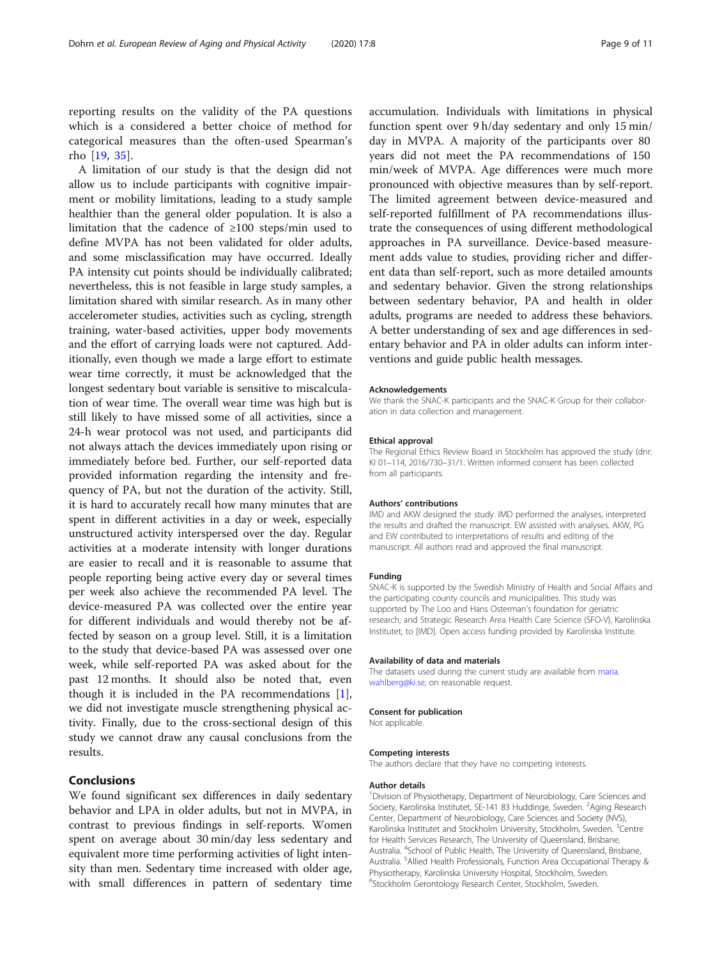reporting results on the validity of the PA questions which is a considered a better choice of method for categorical measures than the often-used Spearman's rho [\[19](#page-9-0), [35](#page-9-0)].

A limitation of our study is that the design did not allow us to include participants with cognitive impairment or mobility limitations, leading to a study sample healthier than the general older population. It is also a limitation that the cadence of ≥100 steps/min used to define MVPA has not been validated for older adults, and some misclassification may have occurred. Ideally PA intensity cut points should be individually calibrated; nevertheless, this is not feasible in large study samples, a limitation shared with similar research. As in many other accelerometer studies, activities such as cycling, strength training, water-based activities, upper body movements and the effort of carrying loads were not captured. Additionally, even though we made a large effort to estimate wear time correctly, it must be acknowledged that the longest sedentary bout variable is sensitive to miscalculation of wear time. The overall wear time was high but is still likely to have missed some of all activities, since a 24-h wear protocol was not used, and participants did not always attach the devices immediately upon rising or immediately before bed. Further, our self-reported data provided information regarding the intensity and frequency of PA, but not the duration of the activity. Still, it is hard to accurately recall how many minutes that are spent in different activities in a day or week, especially unstructured activity interspersed over the day. Regular activities at a moderate intensity with longer durations are easier to recall and it is reasonable to assume that people reporting being active every day or several times per week also achieve the recommended PA level. The device-measured PA was collected over the entire year for different individuals and would thereby not be affected by season on a group level. Still, it is a limitation to the study that device-based PA was assessed over one week, while self-reported PA was asked about for the past 12 months. It should also be noted that, even though it is included in the PA recommendations [\[1](#page-9-0)], we did not investigate muscle strengthening physical activity. Finally, due to the cross-sectional design of this study we cannot draw any causal conclusions from the results.

### Conclusions

We found significant sex differences in daily sedentary behavior and LPA in older adults, but not in MVPA, in contrast to previous findings in self-reports. Women spent on average about 30 min/day less sedentary and equivalent more time performing activities of light intensity than men. Sedentary time increased with older age, with small differences in pattern of sedentary time accumulation. Individuals with limitations in physical function spent over 9 h/day sedentary and only 15 min/ day in MVPA. A majority of the participants over 80 years did not meet the PA recommendations of 150 min/week of MVPA. Age differences were much more pronounced with objective measures than by self-report. The limited agreement between device-measured and self-reported fulfillment of PA recommendations illustrate the consequences of using different methodological approaches in PA surveillance. Device-based measurement adds value to studies, providing richer and different data than self-report, such as more detailed amounts and sedentary behavior. Given the strong relationships between sedentary behavior, PA and health in older adults, programs are needed to address these behaviors. A better understanding of sex and age differences in sedentary behavior and PA in older adults can inform interventions and guide public health messages.

### Acknowledgements

We thank the SNAC-K participants and the SNAC-K Group for their collaboration in data collection and management.

### Ethical approval

The Regional Ethics Review Board in Stockholm has approved the study (dnr: KI 01–114, 2016/730–31/1. Written informed consent has been collected from all participants.

#### Authors' contributions

IMD and AKW designed the study. IMD performed the analyses, interpreted the results and drafted the manuscript. EW assisted with analyses. AKW, PG and EW contributed to interpretations of results and editing of the manuscript. All authors read and approved the final manuscript.

#### Funding

SNAC-K is supported by the Swedish Ministry of Health and Social Affairs and the participating county councils and municipalities. This study was supported by The Loo and Hans Osterman's foundation for geriatric research, and Strategic Research Area Health Care Science (SFO-V), Karolinska Institutet, to [IMD]. Open access funding provided by Karolinska Institute.

### Availability of data and materials

The datasets used during the current study are available from [maria.](mailto:maria.wahlberg@ki.se) [wahlberg@ki.se,](mailto:maria.wahlberg@ki.se) on reasonable request.

### Consent for publication

Not applicable.

### Competing interests

The authors declare that they have no competing interests.

### Author details

<sup>1</sup> Division of Physiotherapy, Department of Neurobiology, Care Sciences and Society, Karolinska Institutet, SE-141 83 Huddinge, Sweden. <sup>2</sup>Aging Research Center, Department of Neurobiology, Care Sciences and Society (NVS), Karolinska Institutet and Stockholm University, Stockholm, Sweden. <sup>3</sup>Centre for Health Services Research, The University of Queensland, Brisbane, Australia. <sup>4</sup> School of Public Health, The University of Queensland, Brisbane, Australia. <sup>5</sup> Allied Health Professionals, Function Area Occupational Therapy & Physiotherapy, Karolinska University Hospital, Stockholm, Sweden. 6 Stockholm Gerontology Research Center, Stockholm, Sweden.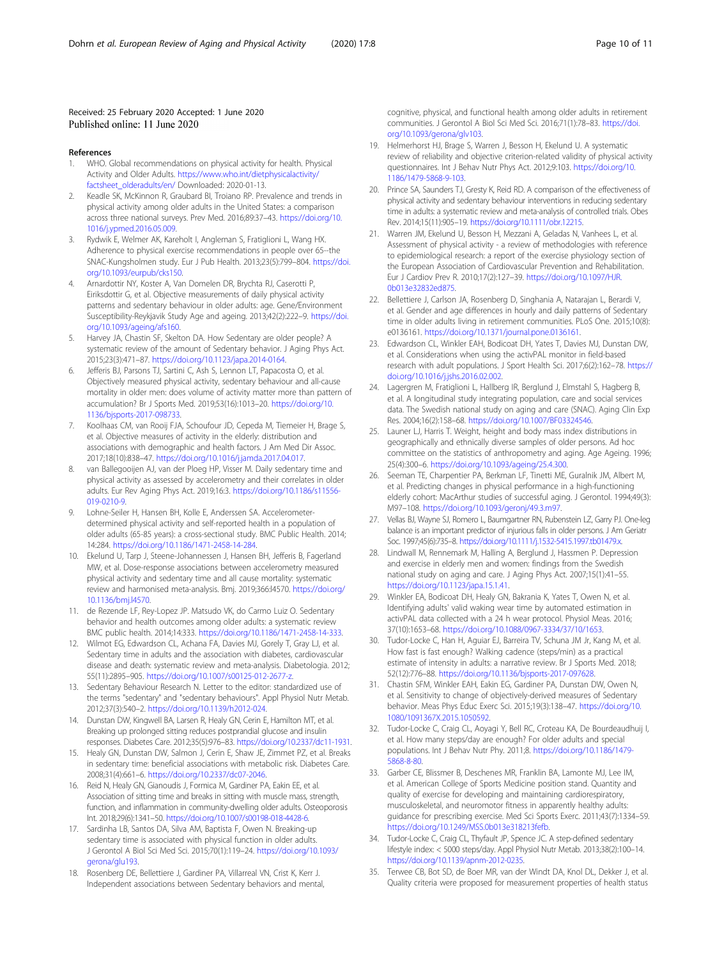### <span id="page-9-0"></span>Received: 25 February 2020 Accepted: 1 June 2020 Published online: 11 June 2020

### References

- 1. WHO. Global recommendations on physical activity for health. Physical Activity and Older Adults. [https://www.who.int/dietphysicalactivity/](https://www.who.int/dietphysicalactivity/factsheet_olderadults/en/) [factsheet\\_olderadults/en/](https://www.who.int/dietphysicalactivity/factsheet_olderadults/en/) Downloaded: 2020-01-13.
- 2. Keadle SK, McKinnon R, Graubard BI, Troiano RP. Prevalence and trends in physical activity among older adults in the United States: a comparison across three national surveys. Prev Med. 2016;89:37–43. [https://doi.org/10.](https://doi.org/10.1016/j.ypmed.2016.05.009) [1016/j.ypmed.2016.05.009.](https://doi.org/10.1016/j.ypmed.2016.05.009)
- Rydwik E, Welmer AK, Kareholt I, Angleman S, Fratiglioni L, Wang HX. Adherence to physical exercise recommendations in people over 65--the SNAC-Kungsholmen study. Eur J Pub Health. 2013;23(5):799–804. [https://doi.](https://doi.org/10.1093/eurpub/cks150) [org/10.1093/eurpub/cks150.](https://doi.org/10.1093/eurpub/cks150)
- 4. Arnardottir NY, Koster A, Van Domelen DR, Brychta RJ, Caserotti P, Eiriksdottir G, et al. Objective measurements of daily physical activity patterns and sedentary behaviour in older adults: age. Gene/Environment Susceptibility-Reykjavik Study Age and ageing. 2013;42(2):222–9. [https://doi.](https://doi.org/10.1093/ageing/afs160) [org/10.1093/ageing/afs160.](https://doi.org/10.1093/ageing/afs160)
- 5. Harvey JA, Chastin SF, Skelton DA. How Sedentary are older people? A systematic review of the amount of Sedentary behavior. J Aging Phys Act. 2015;23(3):471–87. <https://doi.org/10.1123/japa.2014-0164>.
- Jefferis BJ, Parsons TJ, Sartini C, Ash S, Lennon LT, Papacosta O, et al. Objectively measured physical activity, sedentary behaviour and all-cause mortality in older men: does volume of activity matter more than pattern of accumulation? Br J Sports Med. 2019;53(16):1013–20. [https://doi.org/10.](https://doi.org/10.1136/bjsports-2017-098733) [1136/bjsports-2017-098733](https://doi.org/10.1136/bjsports-2017-098733).
- 7. Koolhaas CM, van Rooij FJA, Schoufour JD, Cepeda M, Tiemeier H, Brage S, et al. Objective measures of activity in the elderly: distribution and associations with demographic and health factors. J Am Med Dir Assoc. 2017;18(10):838–47. [https://doi.org/10.1016/j.jamda.2017.04.017.](https://doi.org/10.1016/j.jamda.2017.04.017)
- van Ballegooijen AJ, van der Ploeg HP, Visser M. Daily sedentary time and physical activity as assessed by accelerometry and their correlates in older adults. Eur Rev Aging Phys Act. 2019;16:3. [https://doi.org/10.1186/s11556-](https://doi.org/10.1186/s11556-019-0210-9) [019-0210-9](https://doi.org/10.1186/s11556-019-0210-9).
- 9. Lohne-Seiler H, Hansen BH, Kolle E, Anderssen SA. Accelerometerdetermined physical activity and self-reported health in a population of older adults (65-85 years): a cross-sectional study. BMC Public Health. 2014; 14:284. <https://doi.org/10.1186/1471-2458-14-284>.
- 10. Ekelund U, Tarp J, Steene-Johannessen J, Hansen BH, Jefferis B, Fagerland MW, et al. Dose-response associations between accelerometry measured physical activity and sedentary time and all cause mortality: systematic review and harmonised meta-analysis. Bmj. 2019;366:l4570. [https://doi.org/](https://doi.org/10.1136/bmj.l4570) [10.1136/bmj.l4570](https://doi.org/10.1136/bmj.l4570).
- 11. de Rezende LF, Rey-Lopez JP. Matsudo VK, do Carmo Luiz O. Sedentary behavior and health outcomes among older adults: a systematic review BMC public health. 2014;14:333. [https://doi.org/10.1186/1471-2458-14-333.](https://doi.org/10.1186/1471-2458-14-333)
- 12. Wilmot EG, Edwardson CL, Achana FA, Davies MJ, Gorely T, Gray LJ, et al. Sedentary time in adults and the association with diabetes, cardiovascular disease and death: systematic review and meta-analysis. Diabetologia. 2012; 55(11):2895–905. [https://doi.org/10.1007/s00125-012-2677-z.](https://doi.org/10.1007/s00125-012-2677-z)
- 13. Sedentary Behaviour Research N. Letter to the editor: standardized use of the terms "sedentary" and "sedentary behaviours". Appl Physiol Nutr Metab. 2012;37(3):540–2. <https://doi.org/10.1139/h2012-024>.
- 14. Dunstan DW, Kingwell BA, Larsen R, Healy GN, Cerin E, Hamilton MT, et al. Breaking up prolonged sitting reduces postprandial glucose and insulin responses. Diabetes Care. 2012;35(5):976–83. <https://doi.org/10.2337/dc11-1931>.
- 15. Healy GN, Dunstan DW, Salmon J, Cerin E, Shaw JE, Zimmet PZ, et al. Breaks in sedentary time: beneficial associations with metabolic risk. Diabetes Care. 2008;31(4):661–6. [https://doi.org/10.2337/dc07-2046.](https://doi.org/10.2337/dc07-2046)
- 16. Reid N, Healy GN, Gianoudis J, Formica M, Gardiner PA, Eakin EE, et al. Association of sitting time and breaks in sitting with muscle mass, strength, function, and inflammation in community-dwelling older adults. Osteoporosis Int. 2018;29(6):1341–50. [https://doi.org/10.1007/s00198-018-4428-6.](https://doi.org/10.1007/s00198-018-4428-6)
- 17. Sardinha LB, Santos DA, Silva AM, Baptista F, Owen N. Breaking-up sedentary time is associated with physical function in older adults. J Gerontol A Biol Sci Med Sci. 2015;70(1):119–24. [https://doi.org/10.1093/](https://doi.org/10.1093/gerona/glu193) [gerona/glu193.](https://doi.org/10.1093/gerona/glu193)
- 18. Rosenberg DE, Bellettiere J, Gardiner PA, Villarreal VN, Crist K, Kerr J. Independent associations between Sedentary behaviors and mental,

cognitive, physical, and functional health among older adults in retirement communities. J Gerontol A Biol Sci Med Sci. 2016;71(1):78–83. [https://doi.](https://doi.org/10.1093/gerona/glv103) [org/10.1093/gerona/glv103](https://doi.org/10.1093/gerona/glv103).

- 19. Helmerhorst HJ, Brage S, Warren J, Besson H, Ekelund U. A systematic review of reliability and objective criterion-related validity of physical activity questionnaires. Int J Behav Nutr Phys Act. 2012;9:103. [https://doi.org/10.](https://doi.org/10.1186/1479-5868-9-103) [1186/1479-5868-9-103](https://doi.org/10.1186/1479-5868-9-103).
- 20. Prince SA, Saunders TJ, Gresty K, Reid RD. A comparison of the effectiveness of physical activity and sedentary behaviour interventions in reducing sedentary time in adults: a systematic review and meta-analysis of controlled trials. Obes Rev. 2014;15(11):905–19. <https://doi.org/10.1111/obr.12215>.
- 21. Warren JM, Ekelund U, Besson H, Mezzani A, Geladas N, Vanhees L, et al. Assessment of physical activity - a review of methodologies with reference to epidemiological research: a report of the exercise physiology section of the European Association of Cardiovascular Prevention and Rehabilitation. Eur J Cardiov Prev R. 2010;17(2):127–39. [https://doi.org/10.1097/HJR.](https://doi.org/10.1097/HJR.0b013e32832ed875) [0b013e32832ed875](https://doi.org/10.1097/HJR.0b013e32832ed875).
- 22. Bellettiere J, Carlson JA, Rosenberg D, Singhania A, Natarajan L, Berardi V, et al. Gender and age differences in hourly and daily patterns of Sedentary time in older adults living in retirement communities. PLoS One. 2015;10(8): e0136161. <https://doi.org/10.1371/journal.pone.0136161>.
- 23. Edwardson CL, Winkler EAH, Bodicoat DH, Yates T, Davies MJ, Dunstan DW, et al. Considerations when using the activPAL monitor in field-based research with adult populations. J Sport Health Sci. 2017;6(2):162–78. [https://](https://doi.org/10.1016/j.jshs.2016.02.002) [doi.org/10.1016/j.jshs.2016.02.002.](https://doi.org/10.1016/j.jshs.2016.02.002)
- 24. Lagergren M, Fratiglioni L, Hallberg IR, Berglund J, Elmstahl S, Hagberg B, et al. A longitudinal study integrating population, care and social services data. The Swedish national study on aging and care (SNAC). Aging Clin Exp Res. 2004;16(2):158–68. [https://doi.org/10.1007/BF03324546.](https://doi.org/10.1007/BF03324546)
- 25. Launer LJ, Harris T. Weight, height and body mass index distributions in geographically and ethnically diverse samples of older persons. Ad hoc committee on the statistics of anthropometry and aging. Age Ageing. 1996; 25(4):300–6. <https://doi.org/10.1093/ageing/25.4.300>.
- 26. Seeman TE, Charpentier PA, Berkman LF, Tinetti ME, Guralnik JM, Albert M, et al. Predicting changes in physical performance in a high-functioning elderly cohort: MacArthur studies of successful aging. J Gerontol. 1994;49(3): M97–108. <https://doi.org/10.1093/geronj/49.3.m97>.
- 27. Vellas BJ, Wayne SJ, Romero L, Baumgartner RN, Rubenstein LZ, Garry PJ. One-leg balance is an important predictor of injurious falls in older persons. J Am Geriatr Soc. 1997;45(6):735–8. <https://doi.org/10.1111/j.1532-5415.1997.tb01479.x>.
- 28. Lindwall M, Rennemark M, Halling A, Berglund J, Hassmen P. Depression and exercise in elderly men and women: findings from the Swedish national study on aging and care. J Aging Phys Act. 2007;15(1):41–55. <https://doi.org/10.1123/japa.15.1.41>.
- 29. Winkler EA, Bodicoat DH, Healy GN, Bakrania K, Yates T, Owen N, et al. Identifying adults' valid waking wear time by automated estimation in activPAL data collected with a 24 h wear protocol. Physiol Meas. 2016; 37(10):1653–68. [https://doi.org/10.1088/0967-3334/37/10/1653.](https://doi.org/10.1088/0967-3334/37/10/1653)
- 30. Tudor-Locke C, Han H, Aguiar EJ, Barreira TV, Schuna JM Jr, Kang M, et al. How fast is fast enough? Walking cadence (steps/min) as a practical estimate of intensity in adults: a narrative review. Br J Sports Med. 2018; 52(12):776–88. <https://doi.org/10.1136/bjsports-2017-097628>.
- 31. Chastin SFM, Winkler EAH, Eakin EG, Gardiner PA, Dunstan DW, Owen N, et al. Sensitivity to change of objectively-derived measures of Sedentary behavior. Meas Phys Educ Exerc Sci. 2015;19(3):138–47. [https://doi.org/10.](https://doi.org/10.1080/1091367X.2015.1050592) [1080/1091367X.2015.1050592](https://doi.org/10.1080/1091367X.2015.1050592).
- 32. Tudor-Locke C, Craig CL, Aoyagi Y, Bell RC, Croteau KA, De Bourdeaudhuij I, et al. How many steps/day are enough? For older adults and special populations. Int J Behav Nutr Phy. 2011;8. [https://doi.org/10.1186/1479-](https://doi.org/10.1186/1479-5868-8-80) [5868-8-80.](https://doi.org/10.1186/1479-5868-8-80)
- 33. Garber CE, Blissmer B, Deschenes MR, Franklin BA, Lamonte MJ, Lee IM, et al. American College of Sports Medicine position stand. Quantity and quality of exercise for developing and maintaining cardiorespiratory, musculoskeletal, and neuromotor fitness in apparently healthy adults: guidance for prescribing exercise. Med Sci Sports Exerc. 2011;43(7):1334–59. [https://doi.org/10.1249/MSS.0b013e318213fefb.](https://doi.org/10.1249/MSS.0b013e318213fefb)
- 34. Tudor-Locke C, Craig CL, Thyfault JP, Spence JC. A step-defined sedentary lifestyle index: < 5000 steps/day. Appl Physiol Nutr Metab. 2013;38(2):100–14. [https://doi.org/10.1139/apnm-2012-0235.](https://doi.org/10.1139/apnm-2012-0235)
- 35. Terwee CB, Bot SD, de Boer MR, van der Windt DA, Knol DL, Dekker J, et al. Quality criteria were proposed for measurement properties of health status